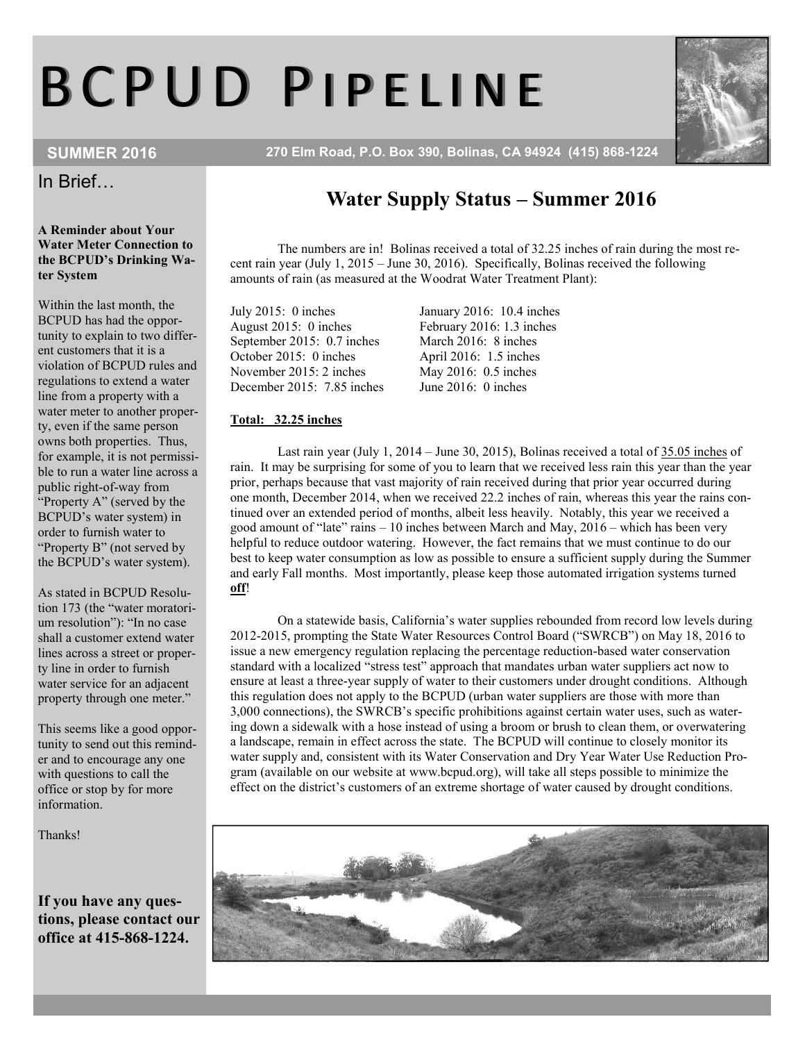# B C P U D P I P E L I N E

SUMMER 2016 270 Elm Road, P.O. Box 390, Bolinas, CA 94924 (415) 868-1224



A Reminder about Your Water Meter Connection to the BCPUD's Drinking Water System

Within the last month, the BCPUD has had the opportunity to explain to two different customers that it is a violation of BCPUD rules and regulations to extend a water line from a property with a water meter to another property, even if the same person owns both properties. Thus, for example, it is not permissible to run a water line across a public right-of-way from "Property A" (served by the BCPUD's water system) in order to furnish water to "Property B" (not served by the BCPUD's water system).

As stated in BCPUD Resolution 173 (the "water moratorium resolution"): "In no case shall a customer extend water lines across a street or property line in order to furnish water service for an adjacent property through one meter."

This seems like a good opportunity to send out this reminder and to encourage any one with questions to call the office or stop by for more information.

Thanks!

If you have any questions, please contact our office at 415-868-1224.

# Water Supply Status – Summer 2016

The numbers are in! Bolinas received a total of 32.25 inches of rain during the most recent rain year (July 1, 2015 – June 30, 2016). Specifically, Bolinas received the following amounts of rain (as measured at the Woodrat Water Treatment Plant):

July 2015: 0 inches January 2016: 10.4 inches August 2015: 0 inches February 2016: 1.3 inches September 2015: 0.7 inches March 2016: 8 inches<br>October 2015: 0 inches April 2016: 1.5 inches November 2015: 2 inches May 2016: 0.5 inches<br>December 2015: 7.85 inches June 2016: 0 inches December 2015:  $7.85$  inches

April 2016: 1.5 inches May 2016: 0.5 inches

#### Total: 32.25 inches

Last rain year (July 1, 2014 – June 30, 2015), Bolinas received a total of 35.05 inches of rain. It may be surprising for some of you to learn that we received less rain this year than the year prior, perhaps because that vast majority of rain received during that prior year occurred during one month, December 2014, when we received 22.2 inches of rain, whereas this year the rains continued over an extended period of months, albeit less heavily. Notably, this year we received a good amount of "late" rains – 10 inches between March and May, 2016 – which has been very helpful to reduce outdoor watering. However, the fact remains that we must continue to do our best to keep water consumption as low as possible to ensure a sufficient supply during the Summer and early Fall months. Most importantly, please keep those automated irrigation systems turned off!

On a statewide basis, California's water supplies rebounded from record low levels during 2012-2015, prompting the State Water Resources Control Board ("SWRCB") on May 18, 2016 to issue a new emergency regulation replacing the percentage reduction-based water conservation standard with a localized "stress test" approach that mandates urban water suppliers act now to ensure at least a three-year supply of water to their customers under drought conditions. Although this regulation does not apply to the BCPUD (urban water suppliers are those with more than 3,000 connections), the SWRCB's specific prohibitions against certain water uses, such as watering down a sidewalk with a hose instead of using a broom or brush to clean them, or overwatering a landscape, remain in effect across the state. The BCPUD will continue to closely monitor its water supply and, consistent with its Water Conservation and Dry Year Water Use Reduction Program (available on our website at www.bcpud.org), will take all steps possible to minimize the effect on the district's customers of an extreme shortage of water caused by drought conditions.